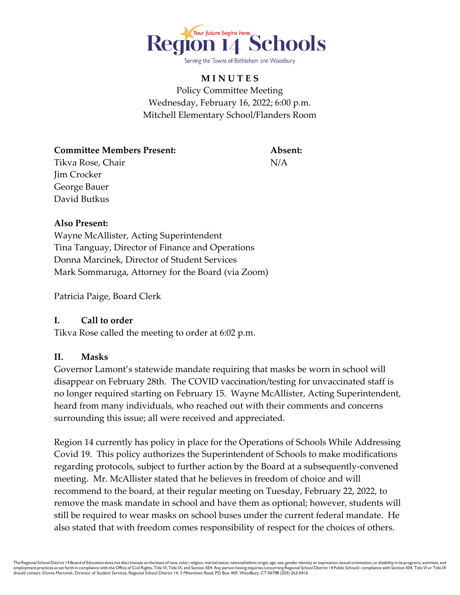

# **M I N U T E S** Policy Committee Meeting Wednesday, February 16, 2022; 6:00 p.m. Mitchell Elementary School/Flanders Room

**Committee Members Present: Absent:** Tikva Rose, Chair N/A Jim Crocker George Bauer David Butkus

#### **Also Present:**

Wayne McAllister, Acting Superintendent Tina Tanguay, Director of Finance and Operations Donna Marcinek, Director of Student Services Mark Sommaruga, Attorney for the Board (via Zoom)

Patricia Paige, Board Clerk

## **I. Call to order**

Tikva Rose called the meeting to order at 6:02 p.m.

## **II. Masks**

Governor Lamont's statewide mandate requiring that masks be worn in school will disappear on February 28th. The COVID vaccination/testing for unvaccinated staff is no longer required starting on February 15. Wayne McAllister, Acting Superintendent, heard from many individuals, who reached out with their comments and concerns surrounding this issue; all were received and appreciated.

Region 14 currently has policy in place for the Operations of Schools While Addressing Covid 19. This policy authorizes the Superintendent of Schools to make modifications regarding protocols, subject to further action by the Board at a subsequently-convened meeting. Mr. McAllister stated that he believes in freedom of choice and will recommend to the board, at their regular meeting on Tuesday, February 22, 2022, to remove the mask mandate in school and have them as optional; however, students will still be required to wear masks on school buses under the current federal mandate. He also stated that with freedom comes responsibility of respect for the choices of others.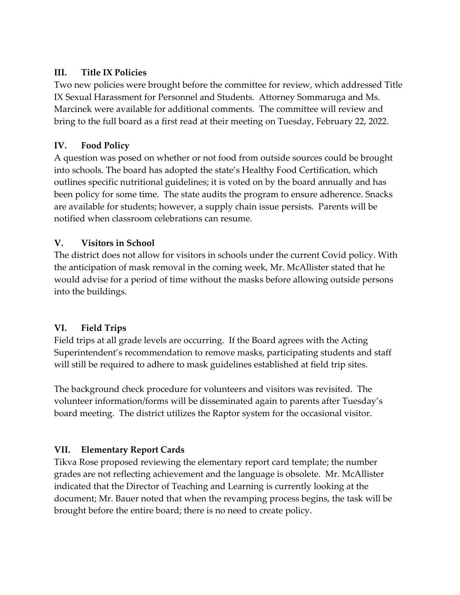## **III. Title IX Policies**

Two new policies were brought before the committee for review, which addressed Title IX Sexual Harassment for Personnel and Students. Attorney Sommaruga and Ms. Marcinek were available for additional comments. The committee will review and bring to the full board as a first read at their meeting on Tuesday, February 22, 2022.

## **IV. Food Policy**

A question was posed on whether or not food from outside sources could be brought into schools. The board has adopted the state's Healthy Food Certification, which outlines specific nutritional guidelines; it is voted on by the board annually and has been policy for some time. The state audits the program to ensure adherence. Snacks are available for students; however, a supply chain issue persists. Parents will be notified when classroom celebrations can resume.

## **V. Visitors in School**

The district does not allow for visitors in schools under the current Covid policy. With the anticipation of mask removal in the coming week, Mr. McAllister stated that he would advise for a period of time without the masks before allowing outside persons into the buildings.

## **VI. Field Trips**

Field trips at all grade levels are occurring. If the Board agrees with the Acting Superintendent's recommendation to remove masks, participating students and staff will still be required to adhere to mask guidelines established at field trip sites.

The background check procedure for volunteers and visitors was revisited. The volunteer information/forms will be disseminated again to parents after Tuesday's board meeting. The district utilizes the Raptor system for the occasional visitor.

## **VII. Elementary Report Cards**

Tikva Rose proposed reviewing the elementary report card template; the number grades are not reflecting achievement and the language is obsolete. Mr. McAllister indicated that the Director of Teaching and Learning is currently looking at the document; Mr. Bauer noted that when the revamping process begins, the task will be brought before the entire board; there is no need to create policy.